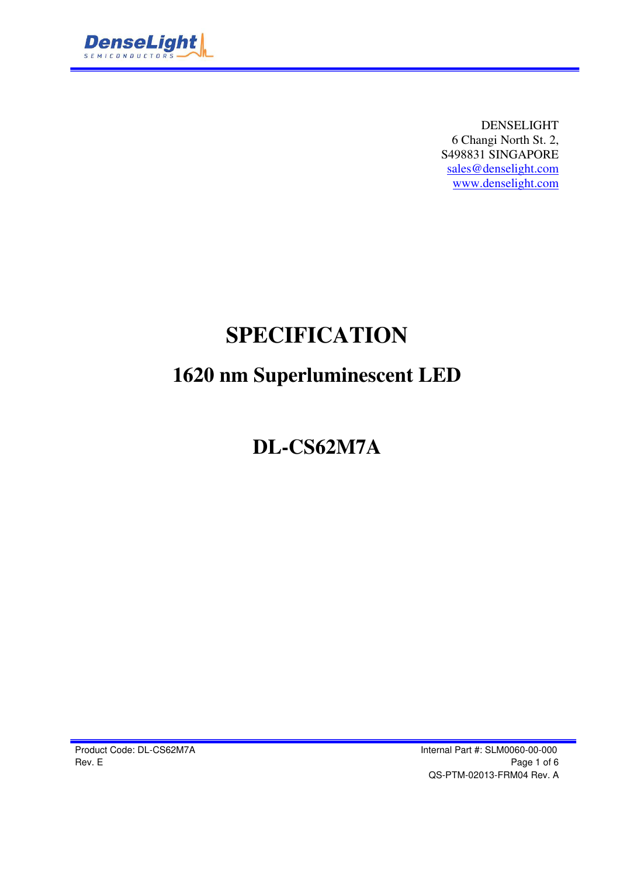

DENSELIGHT 6 Changi North St. 2, S498831 SINGAPORE sales@denselight.com www.denselight.com

# **SPECIFICATION**

# **1620 nm Superluminescent LED**

# **DL-CS62M7A**

Product Code: DL-CS62M7A **Internal Part #: SLM0060-00-000** Rev. E Page 1 of 6 QS-PTM-02013-FRM04 Rev. A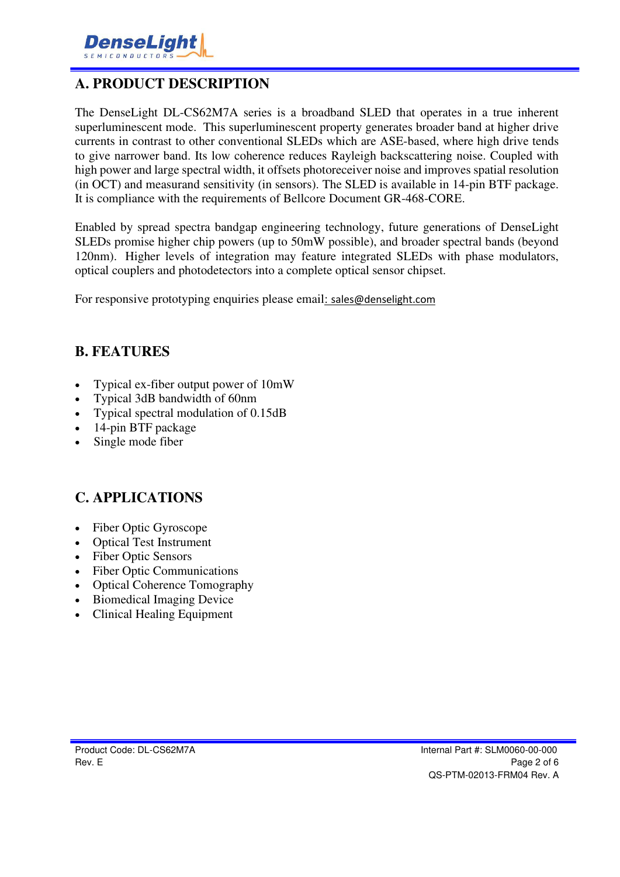

### **A. PRODUCT DESCRIPTION**

The DenseLight DL-CS62M7A series is a broadband SLED that operates in a true inherent superluminescent mode. This superluminescent property generates broader band at higher drive currents in contrast to other conventional SLEDs which are ASE-based, where high drive tends to give narrower band. Its low coherence reduces Rayleigh backscattering noise. Coupled with high power and large spectral width, it offsets photoreceiver noise and improves spatial resolution (in OCT) and measurand sensitivity (in sensors). The SLED is available in 14-pin BTF package. It is compliance with the requirements of Bellcore Document GR-468-CORE.

Enabled by spread spectra bandgap engineering technology, future generations of DenseLight SLEDs promise higher chip powers (up to 50mW possible), and broader spectral bands (beyond 120nm). Higher levels of integration may feature integrated SLEDs with phase modulators, optical couplers and photodetectors into a complete optical sensor chipset.

For responsive prototyping enquiries please email: sales@denselight.com

#### **B. FEATURES**

- Typical ex-fiber output power of 10mW
- Typical 3dB bandwidth of 60nm
- Typical spectral modulation of 0.15dB
- 14-pin BTF package
- Single mode fiber

#### **C. APPLICATIONS**

- Fiber Optic Gyroscope
- Optical Test Instrument
- Fiber Optic Sensors
- Fiber Optic Communications
- Optical Coherence Tomography
- Biomedical Imaging Device
- Clinical Healing Equipment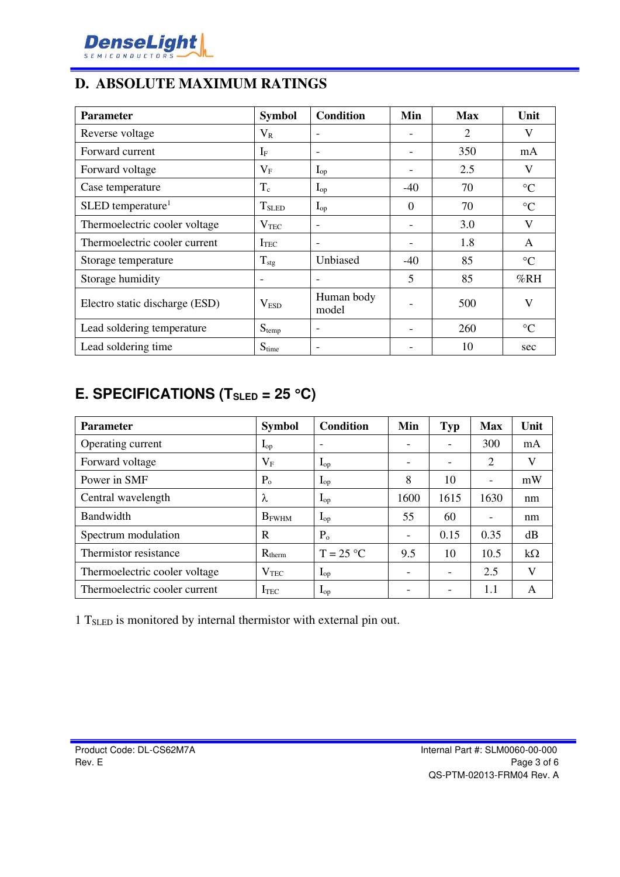

### **D. ABSOLUTE MAXIMUM RATINGS**

| <b>Parameter</b>                | <b>Symbol</b>    | <b>Condition</b>         | Min      | <b>Max</b> | Unit            |
|---------------------------------|------------------|--------------------------|----------|------------|-----------------|
| Reverse voltage                 | $\rm V_R$        |                          |          | 2          | V               |
| Forward current                 | $I_{\rm F}$      | $\overline{\phantom{a}}$ |          | 350<br>mA  |                 |
| Forward voltage                 | $\rm V_F$        | $I_{op}$                 |          | 2.5        | V               |
| Case temperature                | $T_c$            | $\mathbf{I}_{\text{op}}$ | $-40$    | 70         | $\rm ^{\circ}C$ |
| $SLED$ temperature <sup>1</sup> | $T_{SLED}$       | $I_{op}$                 | $\theta$ | 70         | $\rm ^{\circ}C$ |
| Thermoelectric cooler voltage   | $\rm V_{TEC}$    | $\overline{\phantom{a}}$ |          | 3.0        | V               |
| Thermoelectric cooler current   | <b>I</b> TEC     | $\overline{\phantom{a}}$ |          | 1.8        | A               |
| Storage temperature             | $T_{\text{stg}}$ | Unbiased                 | $-40$    | 85         | $\rm ^{\circ}C$ |
| Storage humidity                |                  | $\overline{\phantom{0}}$ | 5        | 85         | %RH             |
| Electro static discharge (ESD)  | V <sub>ESD</sub> | Human body<br>model      |          | 500        | V               |
| Lead soldering temperature      | $S_{temp}$       |                          |          | 260        | $\rm ^{\circ}C$ |
| Lead soldering time             | $S_{time}$       | $\overline{\phantom{0}}$ |          | 10         | sec             |

## **E. SPECIFICATIONS (TSLED = 25 C)**

| <b>Parameter</b>              | <b>Symbol</b>     | <b>Condition</b>         | Min                      | <b>Typ</b>               | <b>Max</b> | Unit      |
|-------------------------------|-------------------|--------------------------|--------------------------|--------------------------|------------|-----------|
| Operating current             | $\mathbf{I}_{op}$ | $\overline{\phantom{0}}$ |                          |                          | 300        | mA        |
| Forward voltage               | $V_{\rm F}$       | $I_{op}$                 |                          | $\overline{\phantom{0}}$ | 2          | V         |
| Power in SMF                  | $P_{o}$           | $\mathbf{I}_{\text{op}}$ | 8                        | 10                       |            | mW        |
| Central wavelength            | λ                 | $I_{op}$                 | 1600                     | 1615                     | 1630       | nm        |
| Bandwidth                     | $B_{FWHM}$        | $I_{op}$                 | 55                       | 60                       | ۰          | nm        |
| Spectrum modulation           | R                 | P <sub>o</sub>           | $\overline{\phantom{a}}$ | 0.15                     | 0.35       | dB        |
| Thermistor resistance         | $R_{therm}$       | $T = 25 °C$              | 9.5                      | 10                       | 10.5       | $k\Omega$ |
| Thermoelectric cooler voltage | $\rm V_{TEC}$     | $I_{op}$                 |                          | $\overline{\phantom{0}}$ | 2.5        | V         |
| Thermoelectric cooler current | <b>ITEC</b>       | $I_{op}$                 |                          | $\overline{\phantom{a}}$ | 1.1        | A         |

1 TSLED is monitored by internal thermistor with external pin out.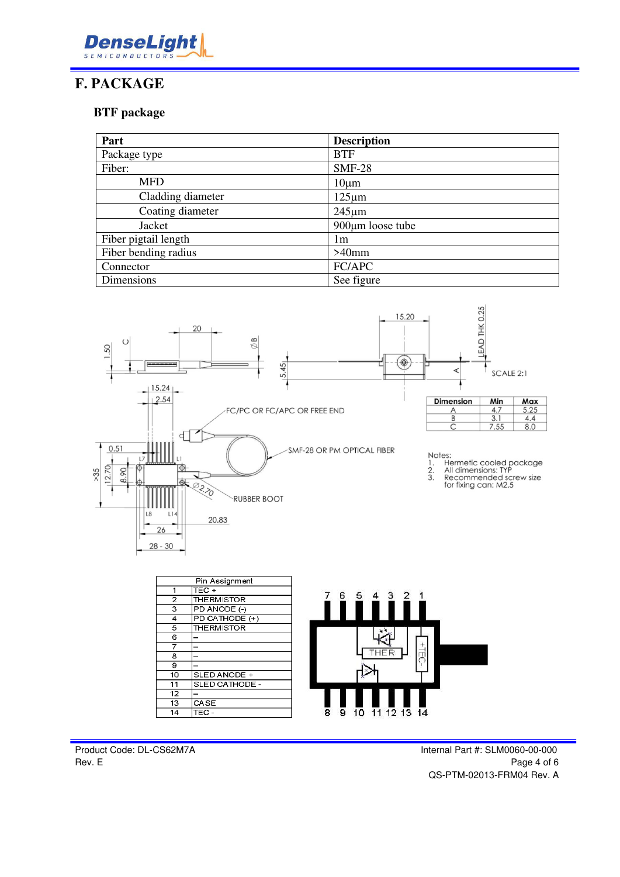

#### **F. PACKAGE**

#### **BTF package**

| Part                 | <b>Description</b> |  |
|----------------------|--------------------|--|
| Package type         | <b>BTF</b>         |  |
| Fiber:               | <b>SMF-28</b>      |  |
| <b>MFD</b>           | $10 \mu m$         |  |
| Cladding diameter    | $125 \mu m$        |  |
| Coating diameter     | $245 \mu m$        |  |
| Jacket               | 900µm loose tube   |  |
| Fiber pigtail length | 1m                 |  |
| Fiber bending radius | $>40$ mm           |  |
| Connector            | FC/APC             |  |
| Dimensions           | See figure         |  |



 $10$ 

 $\overline{9}$ 

 $\overline{8}$ 

11 12 13 14

 $10$ 

 $\overline{11}$ 

 $\overline{12}$ 

 $\overline{13}$ 

 $\overline{14}$ 

SLED ANODE +

SLED CATHODE

CASE

TEC-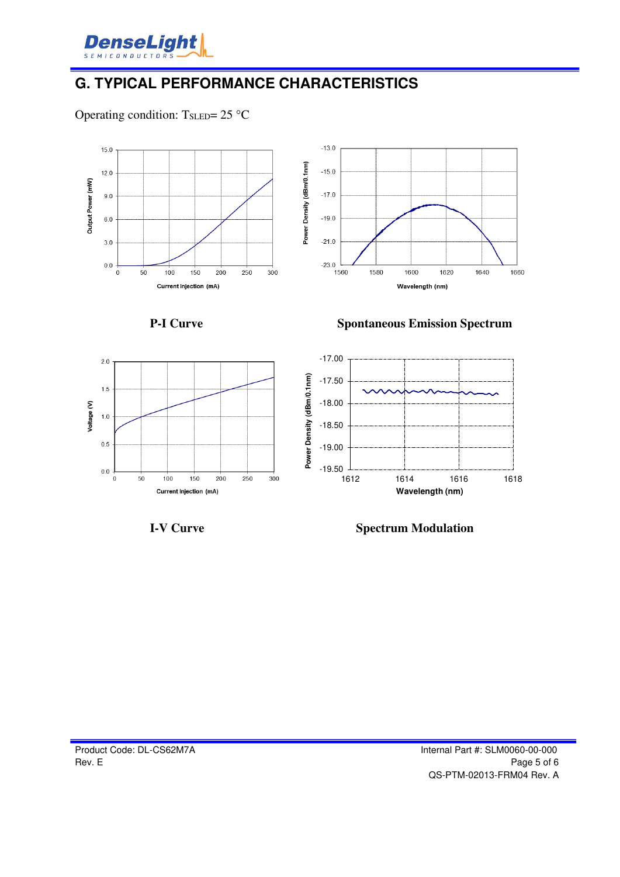

## **G. TYPICAL PERFORMANCE CHARACTERISTICS**

Operating condition:  $T_{\text{SLED}} = 25 \text{ °C}$ 





 $2.0$ 

 $1.5$ 

 $0.5$ 

 $0.0$  $\ddot{\mathbf{0}}$ 

50

Voltage (V)  $1.0$ 





 $100$ 

 $150$ 

Current Injection (mA)

200

**I-V Curve Spectrum Modulation**